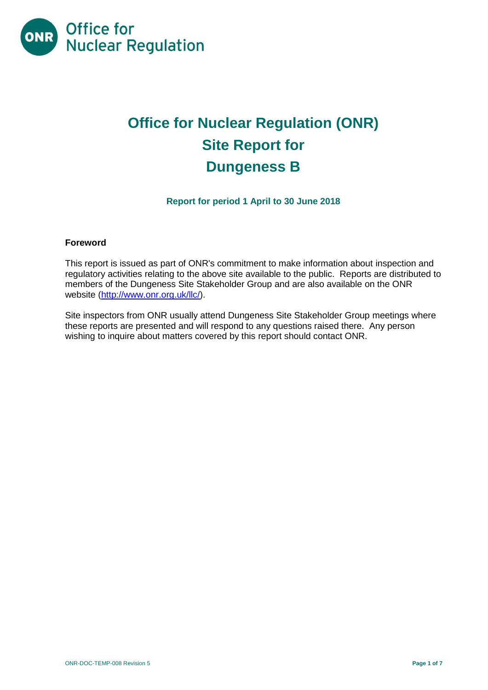

# **Office for Nuclear Regulation (ONR) Site Report for Dungeness B**

**Report for period 1 April to 30 June 2018**

# **Foreword**

This report is issued as part of ONR's commitment to make information about inspection and regulatory activities relating to the above site available to the public. Reports are distributed to members of the Dungeness Site Stakeholder Group and are also available on the ONR website [\(http://www.onr.org.uk/llc/\)](http://www.onr.org.uk/llc/).

Site inspectors from ONR usually attend Dungeness Site Stakeholder Group meetings where these reports are presented and will respond to any questions raised there. Any person wishing to inquire about matters covered by this report should contact ONR.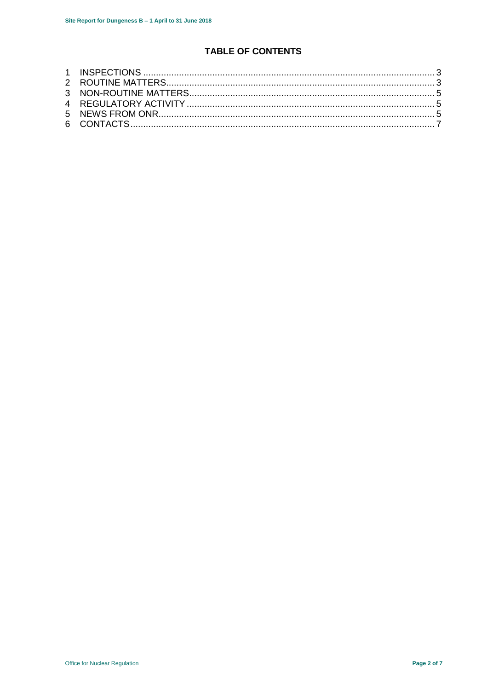# **TABLE OF CONTENTS**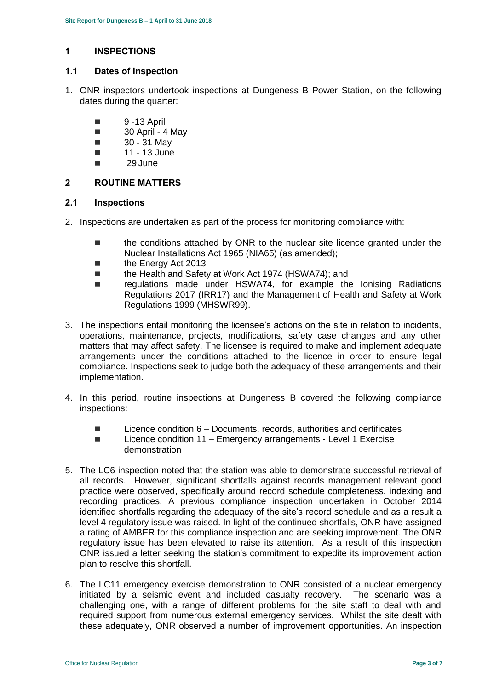# <span id="page-2-0"></span>**1 INSPECTIONS**

## **1.1 Dates of inspection**

- 1. ONR inspectors undertook inspections at Dungeness B Power Station, on the following dates during the quarter:
	- 9 -13 April
	- $\Box$  30 April 4 May
	- $\Box$  30 31 May
	- $\blacksquare$  11 13 June
	- 29 June

# <span id="page-2-1"></span>**2 ROUTINE MATTERS**

#### **2.1 Inspections**

- 2. Inspections are undertaken as part of the process for monitoring compliance with:
	- the conditions attached by ONR to the nuclear site licence granted under the Nuclear Installations Act 1965 (NIA65) (as amended);
	- the Energy Act 2013
	- the Health and Safety at Work Act 1974 (HSWA74); and
	- regulations made under HSWA74, for example the Ionising Radiations Regulations 2017 (IRR17) and the Management of Health and Safety at Work Regulations 1999 (MHSWR99).
- 3. The inspections entail monitoring the licensee's actions on the site in relation to incidents, operations, maintenance, projects, modifications, safety case changes and any other matters that may affect safety. The licensee is required to make and implement adequate arrangements under the conditions attached to the licence in order to ensure legal compliance. Inspections seek to judge both the adequacy of these arrangements and their implementation.
- 4. In this period, routine inspections at Dungeness B covered the following compliance inspections:
	- $\blacksquare$  Licence condition  $6$  Documents, records, authorities and certificates
	- Licence condition 11 Emergency arrangements Level 1 Exercise demonstration
- 5. The LC6 inspection noted that the station was able to demonstrate successful retrieval of all records. However, significant shortfalls against records management relevant good practice were observed, specifically around record schedule completeness, indexing and recording practices. A previous compliance inspection undertaken in October 2014 identified shortfalls regarding the adequacy of the site's record schedule and as a result a level 4 regulatory issue was raised. In light of the continued shortfalls, ONR have assigned a rating of AMBER for this compliance inspection and are seeking improvement. The ONR regulatory issue has been elevated to raise its attention. As a result of this inspection ONR issued a letter seeking the station's commitment to expedite its improvement action plan to resolve this shortfall.
- 6. The LC11 emergency exercise demonstration to ONR consisted of a nuclear emergency initiated by a seismic event and included casualty recovery. The scenario was a challenging one, with a range of different problems for the site staff to deal with and required support from numerous external emergency services. Whilst the site dealt with these adequately, ONR observed a number of improvement opportunities. An inspection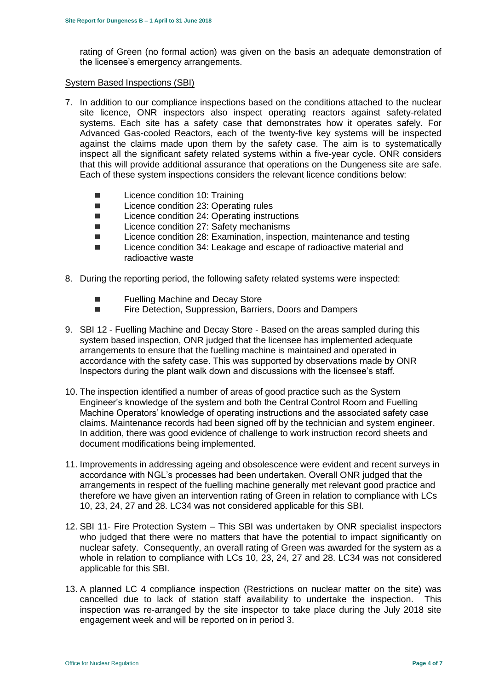rating of Green (no formal action) was given on the basis an adequate demonstration of the licensee's emergency arrangements.

#### System Based Inspections (SBI)

- 7. In addition to our compliance inspections based on the conditions attached to the nuclear site licence, ONR inspectors also inspect operating reactors against safety-related systems. Each site has a safety case that demonstrates how it operates safely. For Advanced Gas-cooled Reactors, each of the twenty-five key systems will be inspected against the claims made upon them by the safety case. The aim is to systematically inspect all the significant safety related systems within a five-year cycle. ONR considers that this will provide additional assurance that operations on the Dungeness site are safe. Each of these system inspections considers the relevant licence conditions below:
	- **Licence condition 10: Training**
	- Licence condition 23: Operating rules
	- Licence condition 24: Operating instructions
	- Licence condition 27: Safety mechanisms
	- Licence condition 28: Examination, inspection, maintenance and testing
	- Licence condition 34: Leakage and escape of radioactive material and radioactive waste
- 8. During the reporting period, the following safety related systems were inspected:
	- Fuelling Machine and Decay Store
	- **Fire Detection, Suppression, Barriers, Doors and Dampers**
- 9. SBI 12 Fuelling Machine and Decay Store Based on the areas sampled during this system based inspection, ONR judged that the licensee has implemented adequate arrangements to ensure that the fuelling machine is maintained and operated in accordance with the safety case. This was supported by observations made by ONR Inspectors during the plant walk down and discussions with the licensee's staff.
- 10. The inspection identified a number of areas of good practice such as the System Engineer's knowledge of the system and both the Central Control Room and Fuelling Machine Operators' knowledge of operating instructions and the associated safety case claims. Maintenance records had been signed off by the technician and system engineer. In addition, there was good evidence of challenge to work instruction record sheets and document modifications being implemented.
- 11. Improvements in addressing ageing and obsolescence were evident and recent surveys in accordance with NGL's processes had been undertaken. Overall ONR judged that the arrangements in respect of the fuelling machine generally met relevant good practice and therefore we have given an intervention rating of Green in relation to compliance with LCs 10, 23, 24, 27 and 28. LC34 was not considered applicable for this SBI.
- 12. SBI 11- Fire Protection System This SBI was undertaken by ONR specialist inspectors who judged that there were no matters that have the potential to impact significantly on nuclear safety. Consequently, an overall rating of Green was awarded for the system as a whole in relation to compliance with LCs 10, 23, 24, 27 and 28. LC34 was not considered applicable for this SBI.
- 13. A planned LC 4 compliance inspection (Restrictions on nuclear matter on the site) was cancelled due to lack of station staff availability to undertake the inspection. This inspection was re-arranged by the site inspector to take place during the July 2018 site engagement week and will be reported on in period 3.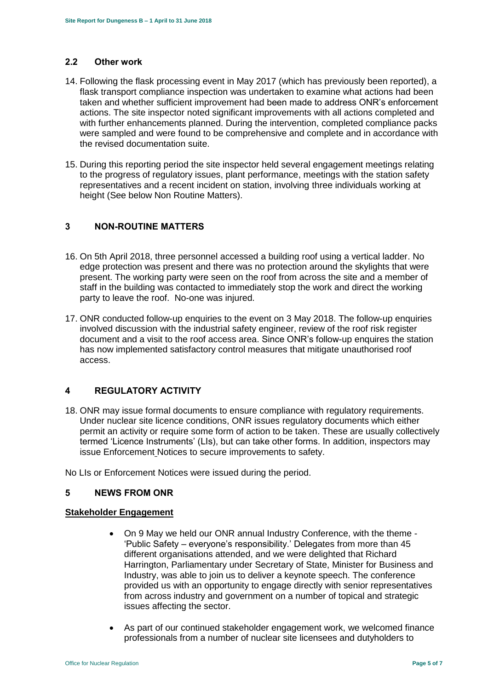#### **2.2 Other work**

- 14. Following the flask processing event in May 2017 (which has previously been reported), a flask transport compliance inspection was undertaken to examine what actions had been taken and whether sufficient improvement had been made to address ONR's enforcement actions. The site inspector noted significant improvements with all actions completed and with further enhancements planned. During the intervention, completed compliance packs were sampled and were found to be comprehensive and complete and in accordance with the revised documentation suite.
- 15. During this reporting period the site inspector held several engagement meetings relating to the progress of regulatory issues, plant performance, meetings with the station safety representatives and a recent incident on station, involving three individuals working at height (See below Non Routine Matters).

# <span id="page-4-0"></span>**3 NON-ROUTINE MATTERS**

- 16. On 5th April 2018, three personnel accessed a building roof using a vertical ladder. No edge protection was present and there was no protection around the skylights that were present. The working party were seen on the roof from across the site and a member of staff in the building was contacted to immediately stop the work and direct the working party to leave the roof. No-one was injured.
- 17. ONR conducted follow-up enquiries to the event on 3 May 2018. The follow-up enquiries involved discussion with the industrial safety engineer, review of the roof risk register document and a visit to the roof access area. Since ONR's follow-up enquires the station has now implemented satisfactory control measures that mitigate unauthorised roof access.

# <span id="page-4-1"></span>**4 REGULATORY ACTIVITY**

18. ONR may issue formal documents to ensure compliance with regulatory requirements. Under nuclear site licence conditions, ONR issues regulatory documents which either permit an activity or require some form of action to be taken. These are usually collectively termed 'Licence Instruments' (LIs), but can take other forms. In addition, inspectors may issue Enforcement Notices to secure improvements to safety.

No LIs or Enforcement Notices were issued during the period.

#### <span id="page-4-2"></span>**5 NEWS FROM ONR**

#### **Stakeholder Engagement**

- On 9 May we held our ONR annual Industry Conference, with the theme 'Public Safety – everyone's responsibility.' Delegates from more than 45 different organisations attended, and we were delighted that Richard Harrington, Parliamentary under Secretary of State, Minister for Business and Industry, was able to join us to deliver a keynote speech. The conference provided us with an opportunity to engage directly with senior representatives from across industry and government on a number of topical and strategic issues affecting the sector.
- As part of our continued stakeholder engagement work, we welcomed finance professionals from a number of nuclear site licensees and dutyholders to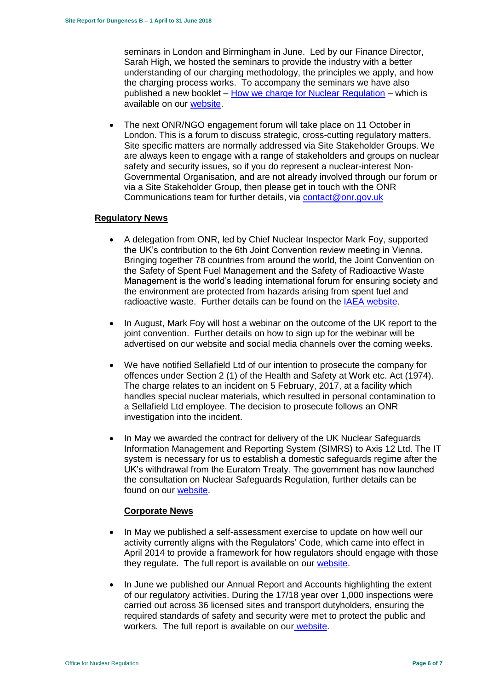seminars in London and Birmingham in June. Led by our Finance Director, Sarah High, we hosted the seminars to provide the industry with a better understanding of our charging methodology, the principles we apply, and how the charging process works. To accompany the seminars we have also published a new booklet – [How we charge for Nuclear Regulation](http://www.onr.org.uk/documents/2018/how-we-charge-for-nuclear-regulation.pdf) – which is available on our [website.](http://www.onr.org.uk/documents/2018/how-we-charge-for-nuclear-regulation.pdf)

 The next ONR/NGO engagement forum will take place on 11 October in London. This is a forum to discuss strategic, cross-cutting regulatory matters. Site specific matters are normally addressed via Site Stakeholder Groups. We are always keen to engage with a range of stakeholders and groups on nuclear safety and security issues, so if you do represent a nuclear-interest Non-Governmental Organisation, and are not already involved through our forum or via a Site Stakeholder Group, then please get in touch with the ONR Communications team for further details, via [contact@onr.gov.uk](mailto:contact@onr.gov.uk)

# **Regulatory News**

- A delegation from ONR, led by Chief Nuclear Inspector Mark Foy, supported the UK's contribution to the 6th Joint Convention review meeting in Vienna. Bringing together 78 countries from around the world, the Joint Convention on the Safety of Spent Fuel Management and the Safety of Radioactive Waste Management is the world's leading international forum for ensuring society and the environment are protected from hazards arising from spent fuel and radioactive waste. Further details can be found on the [IAEA website.](https://www.iaea.org/events/sixth-review-meeting-of-the-contracting-parties-to-the-joint-convention-on-the-safety-of-spent-fuel-management-and-on-the-safety-of-radioactive-waste-management-joint-convention)
- In August, Mark Foy will host a webinar on the outcome of the UK report to the joint convention. Further details on how to sign up for the webinar will be advertised on our website and social media channels over the coming weeks.
- We have notified Sellafield Ltd of our intention to prosecute the company for offences under Section 2 (1) of the Health and Safety at Work etc. Act (1974). The charge relates to an incident on 5 February, 2017, at a facility which handles special nuclear materials, which resulted in personal contamination to a Sellafield Ltd employee. The decision to prosecute follows an ONR investigation into the incident.
- In May we awarded the contract for delivery of the UK Nuclear Safeguards Information Management and Reporting System (SIMRS) to Axis 12 Ltd. The IT system is necessary for us to establish a domestic safeguards regime after the UK's withdrawal from the Euratom Treaty. The government has now launched the consultation on Nuclear Safeguards Regulation, further details can be found on our [website.](http://news.onr.org.uk/2018/07/government-consults-on-nuclear-safeguards-regulations/)

# **Corporate News**

- In May we published a self-assessment exercise to update on how well our activity currently aligns with the Regulators' Code, which came into effect in April 2014 to provide a framework for how regulators should engage with those they regulate. The full report is available on our [website.](http://www.onr.org.uk/regulators-code.htm)
- In June we published our Annual Report and Accounts highlighting the extent of our regulatory activities. During the 17/18 year over 1,000 inspections were carried out across 36 licensed sites and transport dutyholders, ensuring the required standards of safety and security were met to protect the public and workers. The full report is available on our [website.](http://news.onr.org.uk/2018/06/annual-report-and-accounts-published/)